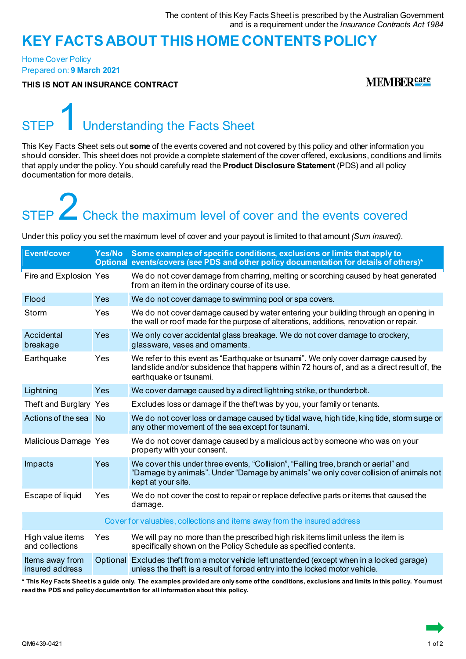### **KEY FACTS ABOUT THIS HOME CONTENTSPOLICY**

Home Cover Policy Prepared on: **9 March 2021**

**THIS IS NOT AN INSURANCE CONTRACT**

**MEMBERSATE** 

## Understanding the Facts Sheet

This Key Facts Sheet sets out **some** of the events covered and not covered by this policy and other information you should consider. This sheet does not provide a complete statement of the cover offered, exclusions, conditions and limits that apply under the policy. You should carefully read the **Product Disclosure Statement** (PDS) and all policy documentation for more details.

# STEP **2** Check the maximum level of cover and the events covered

Under this policy you set the maximum level of cover and your payout is limited to that amount *(Sum insured)*.

| <b>Event/cover</b>                  | Yes/No     | Some examples of specific conditions, exclusions or limits that apply to<br>Optional events/covers (see PDS and other policy documentation for details of others)*                                         |
|-------------------------------------|------------|------------------------------------------------------------------------------------------------------------------------------------------------------------------------------------------------------------|
| Fire and Explosion Yes              |            | We do not cover damage from charring, melting or scorching caused by heat generated<br>from an item in the ordinary course of its use.                                                                     |
| Flood                               | Yes        | We do not cover damage to swimming pool or spa covers.                                                                                                                                                     |
| Storm                               | Yes        | We do not cover damage caused by water entering your building through an opening in<br>the wall or roof made for the purpose of alterations, additions, renovation or repair.                              |
| Accidental<br>breakage              | Yes        | We only cover accidental glass breakage. We do not cover damage to crockery,<br>glassware, vases and ornaments.                                                                                            |
| Earthquake                          | Yes        | We refer to this event as "Earthquake or tsunami". We only cover damage caused by<br>landslide and/or subsidence that happens within 72 hours of, and as a direct result of, the<br>earthquake or tsunami. |
| Lightning                           | <b>Yes</b> | We cover damage caused by a direct lightning strike, or thunderbolt.                                                                                                                                       |
| Theft and Burglary Yes              |            | Excludes loss or damage if the theft was by you, your family or tenants.                                                                                                                                   |
| Actions of the sea                  |            | We do not cover loss or damage caused by tidal wave, high tide, king tide, storm surge or<br>any other movement of the sea except for tsunami.                                                             |
| Malicious Damage Yes                |            | We do not cover damage caused by a malicious act by someone who was on your<br>property with your consent.                                                                                                 |
| Impacts                             | Yes        | We cover this under three events, "Collision", "Falling tree, branch or aerial" and<br>"Damage by animals". Under "Damage by animals" we only cover collision of animals not<br>kept at your site.         |
| Escape of liquid                    | Yes        | We do not cover the cost to repair or replace defective parts or items that caused the<br>damage.                                                                                                          |
|                                     |            | Cover for valuables, collections and items away from the insured address                                                                                                                                   |
| High value items<br>and collections | Yes        | We will pay no more than the prescribed high risk items limit unless the item is<br>specifically shown on the Policy Schedule as specified contents.                                                       |
| Items away from<br>insured address  |            | Optional Excludes theft from a motor vehicle left unattended (except when in a locked garage)<br>unless the theft is a result of forced entry into the locked motor vehicle.                               |

**\* This Key Facts Sheet is a guide only. The examples provided are only some of the conditions, exclusions and limits in this policy. You must read the PDS and policy documentation for all information about this policy.**